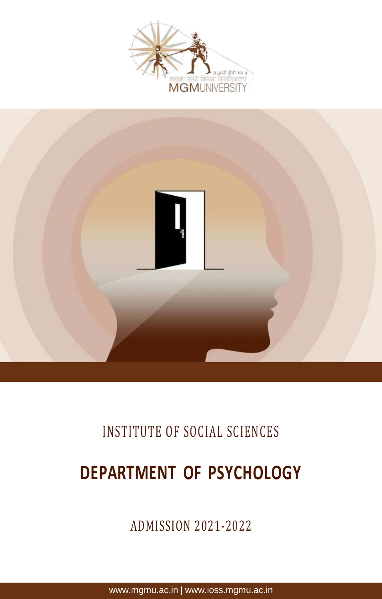



## INSTITUTE OF SOCIAL SCIENCES

# **DEPARTMENT OF PSYCHOLOGY**

ADMISSION 2021-2022

[www.mgmu.ac.in](http://www.mgmu.ac.in/) | [www.ioss.mgmu.ac.in](http://www.ioss.mgmu.ac.in/)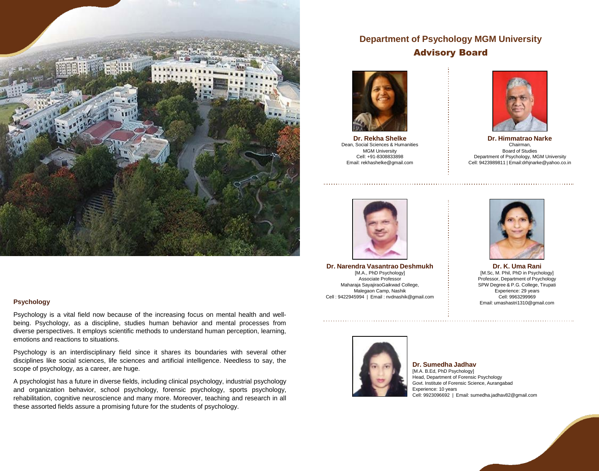

## **Department of Psychology MGM University** Advisory Board



**Dr. Rekha Shelke** Dean, Social Sciences & Humanities MGM University Cell: +91-8308833898 Email[: rekhashelke@gmail.com](mailto:rekhashelke@gmail.com)



**Dr. Himmatrao Narke** Chairman, Board of Studies Department of Psychology, MGM University Cell: 9423989811 | [Email:drhjnarke@yahoo.co.in](mailto:drhjnarke@yahoo.co.in)



**Dr. Narendra Vasantrao Deshmukh** [M.A., PhD Psychology] Associate Professor Maharaja SayajiraoGaikwad College, Malegaon Camp, Nashik Cell : 9422945994 | Email : [nvdnashik@gmail.com](mailto:nvdnashik@gmail.com)



**Dr. K. Uma Rani** [M.Sc, M. Phil, PhD in Psychology] Professor, Department of Psychology SPW Degree & P.G. College, Tirupati Experience: 29 years Cell: 9963299969 Email: [umashastri1310@gmail.com](mailto:umashastri1310@gmail.com)

#### **Psychology**

Psychology is a vital field now because of the increasing focus on mental health and wellbeing. Psychology, as a discipline, studies human behavior and mental processes from diverse perspectives. It employs scientific methods to understand human perception, learning, emotions and reactions to situations.

Psychology is an interdisciplinary field since it shares its boundaries with several other disciplines like social sciences, life sciences and artificial intelligence. Needless to say, the scope of psychology, as a career, are huge.

A psychologist has a future in diverse fields, including clinical psychology, industrial psychology and organization behavior, school psychology, forensic psychology, sports psychology, rehabilitation, cognitive neuroscience and many more. Moreover, teaching and research in all these assorted fields assure a promising future for the students of psychology.



#### **Dr. Sumedha Jadhav**

[M.A. B.Ed, PhD Psychology] Head, Department of Forensic Psychology Govt. Institute of Forensic Science, Aurangabad Experience: 10 years Cell: 9923096692 | Email: [sumedha.jadhav82@gmail.com](mailto:sumedha.jadhav82@gmail.com)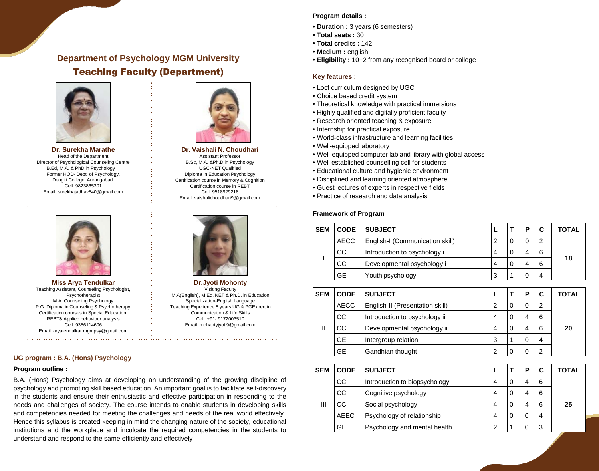## **Department of Psychology MGM University** Teaching Faculty (Department)



**Dr. Surekha Marathe** Head of the Department Director of Psychological Counseling Centre B.Ed, M.A. & PhD in Psychology Former HOD- Dept. of Psychology, Deogiri College, Aurangabad. Cell: 9823865301 Email[: surekhajadhav540@gmail.com](mailto:surekhajadhav540@gmail.com)



**Miss Arya Tendulkar** Teaching Assistant, Counseling Psychologist, Psychotherapist M.A. Counseling Psychology P.G. Diploma in Counseling & Psychotherapy Certification courses in Special Education, REBT& Applied behaviour analysis Cell: 9356114606 Email: [aryatendulkar.mgmpsy@gmail.com](mailto:aryatendulkar.mgmpsy@gmail.com)

#### **UG program : B.A. (Hons) Psychology**

#### **Program outline :**

B.A. (Hons) Psychology aims at developing an understanding of the growing discipline of psychology and promoting skill based education. An important goal is to facilitate self-discovery in the students and ensure their enthusiastic and effective participation in responding to the needs and challenges of society. The course intends to enable students in developing skills and competencies needed for meeting the challenges and needs of the real world effectively. Hence this syllabus is created keeping in mind the changing nature of the society, educational institutions and the workplace and inculcate the required competencies in the students to understand and respond to the same efficiently and effectively

#### **Program details :**

- **• Duration :** 3 years (6 semesters)
- **• Total seats :** 30
- **• Total credits :** 142
- **• Medium :** english
- **• Eligibility :** 10+2 from any recognised board or college

#### **Key features :**

- Locf curriculum designed by UGC
- Choice based credit system
- Theoretical knowledge with practical immersions
- Highly qualified and digitally proficient faculty
- Research oriented teaching & exposure
- Internship for practical exposure
- World-class infrastructure and learning facilities
- Well-equipped laboratory
- Well-equipped computer lab and library with global access
- Well established counselling cell for students
- Educational culture and hygienic environment
- Disciplined and learning oriented atmosphere
- Guest lectures of experts in respective fields
- Practice of research and data analysis

#### **Framework of Program**

| <b>SEM</b> | <b>CODE</b> | <b>SUBJECT</b>                  |   |   | D |   | TOTAL |  |
|------------|-------------|---------------------------------|---|---|---|---|-------|--|
|            | <b>AECC</b> | English-I (Communication skill) |   | U |   | ◠ |       |  |
|            | CC          | Introduction to psychology i    | 4 | U | 4 | 6 |       |  |
|            | cc          | Developmental psychology i      | 4 | U | 4 | 6 | 18    |  |
|            | <b>GE</b>   | Youth psychology                | 3 |   |   | 4 |       |  |

| <b>SEM</b> | <b>CODE</b> | <b>SUBJECT</b>                  |                |   | Р |                | TOTAL |
|------------|-------------|---------------------------------|----------------|---|---|----------------|-------|
| Ш          | <b>AECC</b> | English-II (Presentation skill) | $\overline{2}$ | 0 | 0 | -2             |       |
|            | CC          | Introduction to psychology ii   | 4              | 0 | 4 | 6              |       |
|            | <b>CC</b>   | Developmental psychology ii     | 4              | 0 | 4 | 6              | 20    |
|            | <b>GE</b>   | Intergroup relation             | 3              |   | 0 | 4              |       |
|            | <b>GE</b>   | Gandhian thought                | 2              | 0 | 0 | $\overline{2}$ |       |

| <b>SEM</b> | <b>CODE</b> | <b>SUBJECT</b>                |   |   | Р | C | ΓΟΤΑL |
|------------|-------------|-------------------------------|---|---|---|---|-------|
| Ш          | CC          | Introduction to biopsychology | 4 | 0 | 4 | 6 |       |
|            | CC          | Cognitive psychology          | 4 | 0 | 4 | 6 |       |
|            | CС          | Social psychology             | 4 | 0 | 4 | 6 | 25    |
|            | <b>AEEC</b> | Psychology of relationship    | 4 | 0 | 0 | 4 |       |
|            | <b>GE</b>   | Psychology and mental health  | 2 |   | 0 | 3 |       |



**Dr.Jyoti Mohonty** Visiting Faculty M.A(English), M.Ed, NET & Ph.D. in Education Specialization-English Language Teaching Experience 8 years UG & PGExpert in Communication & Life Skills Cell: +91- 9172003510 Email: [mohantyjyoti9@gmail.com](mailto:mohantyjyoti9@gmail.com)

**Dr. Vaishali N. Choudhari** Assistant Professor B.Sc, M.A. &Ph.D in Psychology UGC-NET Qualified Diploma in Education Psychology Certification course in Memory & Cognition Certification course in REBT Cell: 9518929218 Email: [vaishalichoudhari9@gmail.com](mailto:vaishalichoudhari9@gmail.com)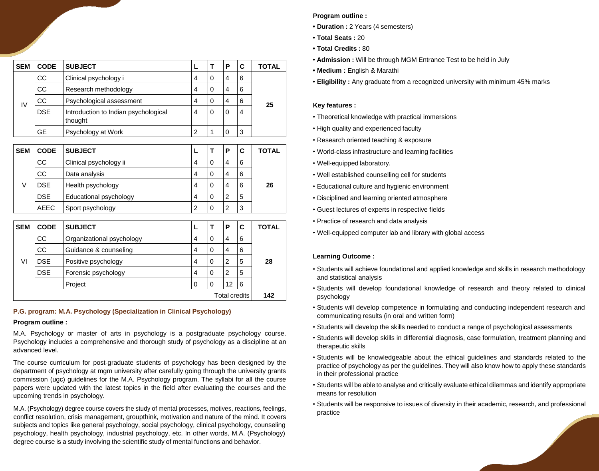| <b>SEM</b> | <b>CODE</b> | <b>SUBJECT</b>                                  |                |             | Р | C | TOTAL |
|------------|-------------|-------------------------------------------------|----------------|-------------|---|---|-------|
| IV         | CC          | Clinical psychology i                           | 4              | 0           | 4 | 6 |       |
|            | CC          | Research methodology                            | $\overline{4}$ | 0           | 4 | 6 |       |
|            | <b>CC</b>   | Psychological assessment                        | 4              | $\mathbf 0$ | 4 | 6 | 25    |
|            | <b>DSE</b>  | Introduction to Indian psychological<br>thought | 4              | $\mathbf 0$ | 0 | 4 |       |
|            | <b>GE</b>   | Psychology at Work                              | 2              | 1           | 0 | 3 |       |

| <b>SEM</b> | <b>CODE</b> | <b>SUBJECT</b>         |   |   |   | C | TOTAL |
|------------|-------------|------------------------|---|---|---|---|-------|
| V          | CC          | Clinical psychology ii | 4 | U | 4 | 6 |       |
|            | CC          | Data analysis          | 4 |   |   | 6 |       |
|            | <b>DSE</b>  | Health psychology      | 4 | Ü | 4 | 6 | 26    |
|            | <b>DSE</b>  | Educational psychology | 4 | O | 2 | 5 |       |
|            | <b>AEEC</b> | Sport psychology       | 2 |   | ◠ | 3 |       |

| <b>SEM</b>           | <b>CODE</b> | <b>SUBJECT</b>            | ► |          | Р  | С   | TOTAL |  |
|----------------------|-------------|---------------------------|---|----------|----|-----|-------|--|
|                      | CC          | Organizational psychology | 4 | $\Omega$ | 4  | 6   |       |  |
|                      | CC          | Guidance & counseling     | 4 | $\Omega$ | 4  | 6   |       |  |
| VI                   | <b>DSE</b>  | Positive psychology       | 4 | 0        | 2  | 5   | 28    |  |
|                      | <b>DSE</b>  | Forensic psychology       | 4 | 0        | 2  | 5   |       |  |
|                      |             | Project                   | 0 | 0        | 12 | 6   |       |  |
| <b>Total credits</b> |             |                           |   |          |    | 142 |       |  |

#### **P.G. program: M.A. Psychology (Specialization in Clinical Psychology)**

#### **Program outline :**

M.A. Psychology or master of arts in psychology is a postgraduate psychology course. Psychology includes a comprehensive and thorough study of psychology as a discipline at an advanced level.

The course curriculum for post-graduate students of psychology has been designed by the department of psychology at mgm university after carefully going through the university grants commission (ugc) guidelines for the M.A. Psychology program. The syllabi for all the course papers were updated with the latest topics in the field after evaluating the courses and the upcoming trends in psychology.

M.A. (Psychology) degree course covers the study of mental processes, motives, reactions, feelings, conflict resolution, crisis management, groupthink, motivation and nature of the mind. It covers subjects and topics like general psychology, social psychology, clinical psychology, counseling psychology, health psychology, industrial psychology, etc. In other words, M.A. (Psychology) degree course is a study involving the scientific study of mental functions and behavior.

**Program outline :**

- **• Duration :** 2 Years (4 semesters)
- **• Total Seats :** 20
- **• Total Credits :** 80
- **• Admission :** Will be through MGM Entrance Test to be held in July
- **• Medium :** English & Marathi
- **• Eligibility :** Any graduate from a recognized university with minimum 45% marks

#### **Key features :**

- Theoretical knowledge with practical immersions
- High quality and experienced faculty
- Research oriented teaching & exposure
- World-class infrastructure and learning facilities
- Well-equipped laboratory.
- Well established counselling cell for students
- Educational culture and hygienic environment
- Disciplined and learning oriented atmosphere
- Guest lectures of experts in respective fields
- Practice of research and data analysis
- Well-equipped computer lab and library with global access

#### **Learning Outcome :**

- Students will achieve foundational and applied knowledge and skills in research methodology and statistical analysis
- Students will develop foundational knowledge of research and theory related to clinical psychology
- Students will develop competence in formulating and conducting independent research and communicating results (in oral and written form)
- Students will develop the skills needed to conduct a range of psychological assessments
- Students will develop skills in differential diagnosis, case formulation, treatment planning and therapeutic skills
- Students will be knowledgeable about the ethical guidelines and standards related to the practice of psychology as per the guidelines. They will also know how to apply these standards in their professional practice
- Students will be able to analyse and critically evaluate ethical dilemmas and identify appropriate means for resolution
- Students will be responsive to issues of diversity in their academic, research, and professional practice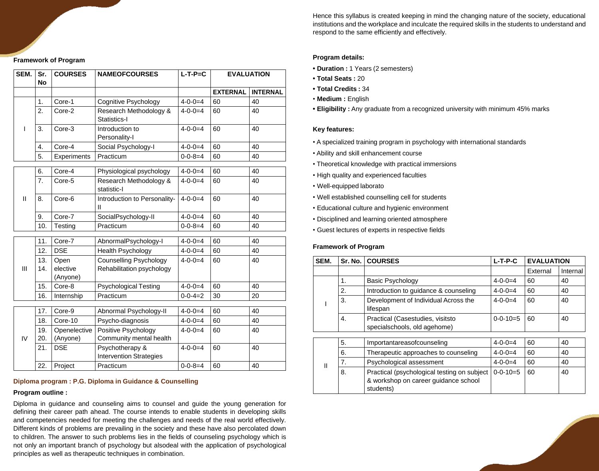#### **Framework of Program**

| SEM.         | Sr.<br><b>No</b> | <b>COURSES</b> | <b>NAMEOFCOURSES</b>                              | $L-T-P=C$       | <b>EVALUATION</b> |                 |  |
|--------------|------------------|----------------|---------------------------------------------------|-----------------|-------------------|-----------------|--|
|              |                  |                |                                                   |                 | <b>EXTERNAL</b>   | <b>INTERNAL</b> |  |
|              | 1.               | Core-1         | Cognitive Psychology                              | $4 - 0 - 0 = 4$ | 60                | 40              |  |
|              | 2.               | Core-2         | Research Methodology &<br>Statistics-I            | $4 - 0 - 0 = 4$ | 60                | 40              |  |
| I.           | 3.               | Core-3         | Introduction to<br>Personality-I                  | $4 - 0 - 0 = 4$ | 60                | 40              |  |
|              | 4.               | Core-4         | Social Psychology-I                               | $4 - 0 - 0 = 4$ | 60                | 40              |  |
|              | 5.               | Experiments    | Practicum                                         | $0 - 0 - 8 = 4$ | 60                | 40              |  |
|              | 6.               | Core-4         | Physiological psychology                          | $4 - 0 - 0 = 4$ | 60                | 40              |  |
|              | 7.               | Core-5         | Research Methodology &                            | $4 - 0 - 0 = 4$ | 60                | 40              |  |
|              |                  |                | statistic-l                                       |                 |                   |                 |  |
| $\mathbf{I}$ | 8.               | Core-6         | Introduction to Personality-<br>$\mathsf{I}$      | $4 - 0 - 0 = 4$ | 60                | 40              |  |
|              | 9.               | Core-7         | SocialPsychology-II                               | $4 - 0 - 0 = 4$ | 60                | 40              |  |
|              | 10.              | Testing        | Practicum                                         | $0 - 0 - 8 = 4$ | 60                | 40              |  |
|              | 11.              | Core-7         | AbnormalPsychology-I                              | $4 - 0 - 0 = 4$ | 60                | 40              |  |
|              | 12.              | <b>DSE</b>     | <b>Health Psychology</b>                          | $4 - 0 - 0 = 4$ | 60                | 40              |  |
|              | 13.              | Open           | <b>Counselling Psychology</b>                     | $4 - 0 - 0 = 4$ | 60                | 40              |  |
| III          | 14.              | elective       | Rehabilitation psychology                         |                 |                   |                 |  |
|              |                  | (Anyone)       |                                                   |                 |                   |                 |  |
|              | 15.              | Core-8         | <b>Psychological Testing</b>                      | $4 - 0 - 0 = 4$ | 60                | 40              |  |
|              | 16.              | Internship     | Practicum                                         | $0 - 0 - 4 = 2$ | 30                | 20              |  |
|              |                  |                |                                                   |                 |                   |                 |  |
|              | 17.              | Core-9         | Abnormal Psychology-II                            | $4 - 0 - 0 = 4$ | 60                | 40              |  |
|              | 18.              | Core-10        | Psycho-diagnosis                                  | $4 - 0 - 0 = 4$ | 60                | 40              |  |
|              | 19.              | Openelective   | Positive Psychology                               | $4 - 0 - 0 = 4$ | 60                | 40              |  |
| IV           | 20.              | (Anyone)       | Community mental health                           |                 |                   |                 |  |
|              | 21.              | <b>DSE</b>     | Psychotherapy &<br><b>Intervention Strategies</b> | $4 - 0 - 0 = 4$ | 60                | 40              |  |
|              | 22.              | Project        | Practicum                                         | $0 - 0 - 8 = 4$ | 60                | 40              |  |

#### **Diploma program : P.G. Diploma in Guidance & Counselling**

#### **Program outline :**

Diploma in guidance and counseling aims to counsel and guide the young generation for defining their career path ahead. The course intends to enable students in developing skills and competencies needed for meeting the challenges and needs of the real world effectively. Different kinds of problems are prevailing in the society and these have also percolated down to children. The answer to such problems lies in the fields of counseling psychology which is not only an important branch of psychology but alsodeal with the application of psychological principles as well as therapeutic techniques in combination.

Hence this syllabus is created keeping in mind the changing nature of the society, educational institutions and the workplace and inculcate the required skills in the students to understand and respond to the same efficiently and effectively.

#### **Program details:**

- **• Duration :** 1 Years (2 semesters)
- **• Total Seats :** 20
- **• Total Credits :** 34
- **Medium :** English
- **• Eligibility :** Any graduate from a recognized university with minimum 45% marks

#### **Key features:**

- A specialized training program in psychology with international standards
- Ability and skill enhancement course
- Theoretical knowledge with practical immersions
- High quality and experienced faculties
- Well-equipped laborato
- Well established counselling cell for students
- Educational culture and hygienic environment
- Disciplined and learning oriented atmosphere
- Guest lectures of experts in respective fields

#### **Framework of Program**

| SEM. |    | Sr. No.   COURSES                                                | $L-T-P-C$        | <b>EVALUATION</b> |          |  |
|------|----|------------------------------------------------------------------|------------------|-------------------|----------|--|
|      |    |                                                                  |                  | External          | Internal |  |
|      | 1. | <b>Basic Psychology</b>                                          | $4 - 0 - 0 = 4$  | 60                | 40       |  |
|      | 2. | Introduction to guidance & counseling                            | $4 - 0 - 0 = 4$  | 60                | 40       |  |
|      | 3. | Development of Individual Across the<br>lifespan                 | $4 - 0 - 0 = 4$  | 60                | 40       |  |
|      | 4. | Practical (Casestudies, visitsto<br>specialschools, old agehome) | $0 - 0 - 10 = 5$ | 60                | 40       |  |
|      |    |                                                                  |                  |                   |          |  |
|      |    |                                                                  |                  |                   |          |  |

|  | 5.  | Importantareasofcounseling                                                                                  | $4 - 0 - 0 = 4$ | 60   | 40 |
|--|-----|-------------------------------------------------------------------------------------------------------------|-----------------|------|----|
|  | 6.  | Therapeutic approaches to counseling                                                                        | $4 - 0 - 0 = 4$ | -60  | 40 |
|  |     | Psychological assessment                                                                                    | $4 - 0 - 0 = 4$ | -60  | 40 |
|  | -8. | Practical (psychological testing on subject   0-0-10=5<br>& workshop on career guidance school<br>students) |                 | l 60 | 40 |